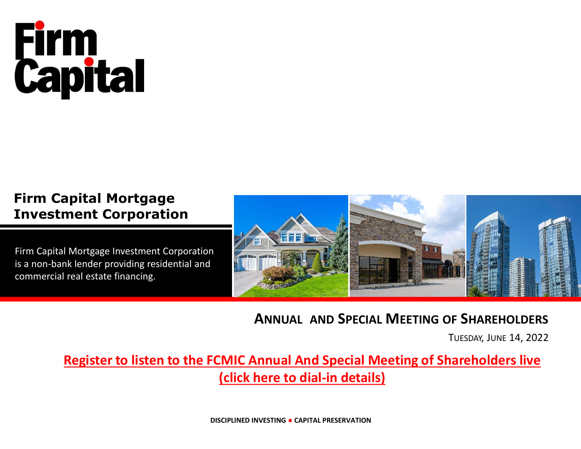# **Firm<br>Capital**

## **Firm Capital Mortgage Investment Corporation**

Firm Capital Mortgage Investment Corporation is a non-bank lender providing residential and commercial real estate financing.



### **ANNUAL AND SPECIAL MEETING OF SHAREHOLDERS**

TUESDAY, JUNE 14, 2022

## **Register to listen to the FCMIC Annual And Special Meeting of Shareholders live**

**(click here to dial-in details)**

**DISCIPLINED INVESTING ● CAPITAL PRESERVATION**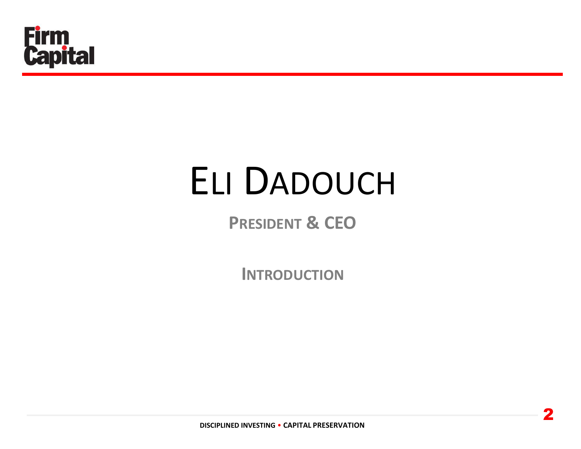

## ELI DADOUCH

## **PRESIDENT & CEO**

**INTRODUCTION**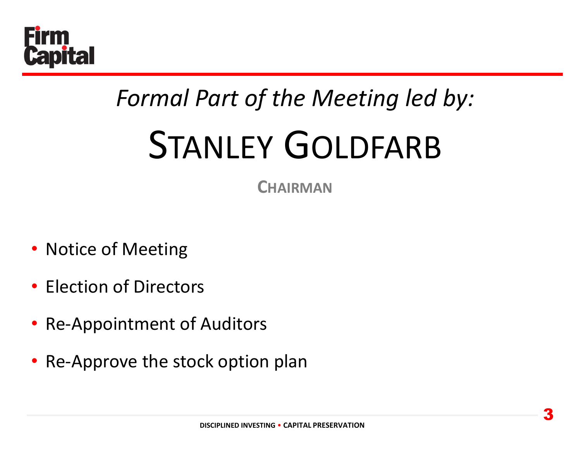

## *Formal Part of the Meeting led by:* STANLEY GOLDFARB

**CHAIRMAN**

- Notice of Meeting
- Election of Directors
- Re-Appointment of Auditors
- Re-Approve the stock option plan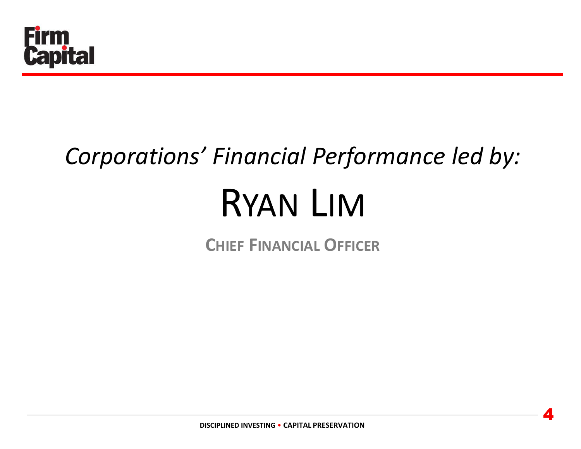

## *Corporations' Financial Performance led by:* RYAN LIM

**CHIEF FINANCIAL OFFICER**

4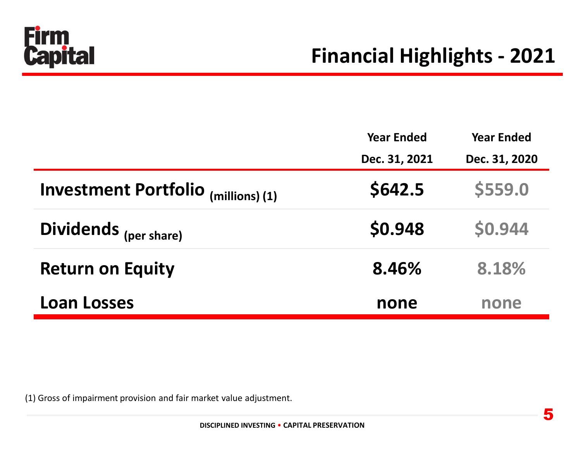

|                                     | <b>Year Ended</b> | <b>Year Ended</b> |  |
|-------------------------------------|-------------------|-------------------|--|
|                                     | Dec. 31, 2021     | Dec. 31, 2020     |  |
| Investment Portfolio (millions) (1) | \$642.5           | \$559.0           |  |
| Dividends (per share)               | \$0.948           | \$0.944           |  |
| <b>Return on Equity</b>             | 8.46%             | 8.18%             |  |
| <b>Loan Losses</b>                  | none              | none              |  |

(1) Gross of impairment provision and fair market value adjustment.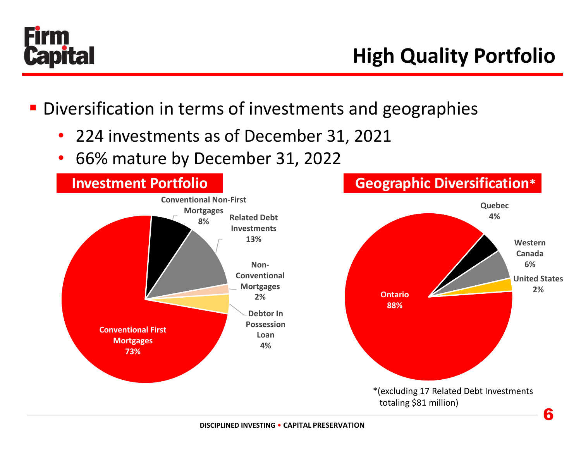

- **Diversification in terms of investments and geographies** 
	- 224 investments as of December 31, 2021
	- 66% mature by December 31, 2022

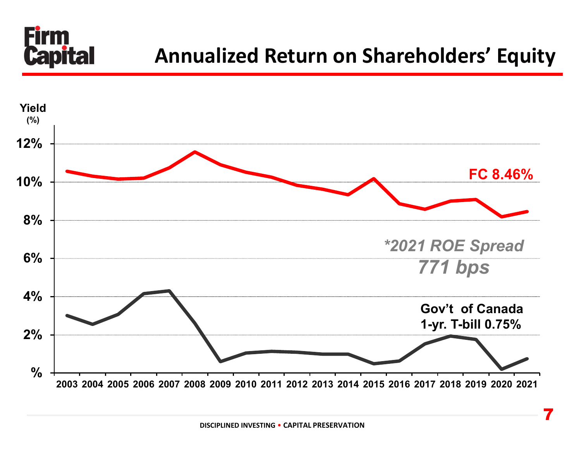

## **Annualized Return on Shareholders' Equity**

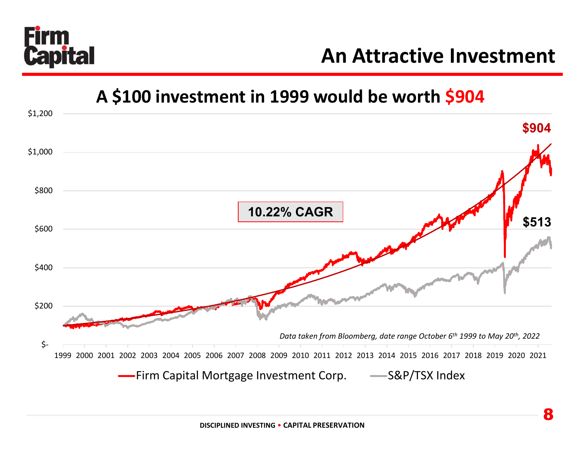

## **An Attractive Investment**

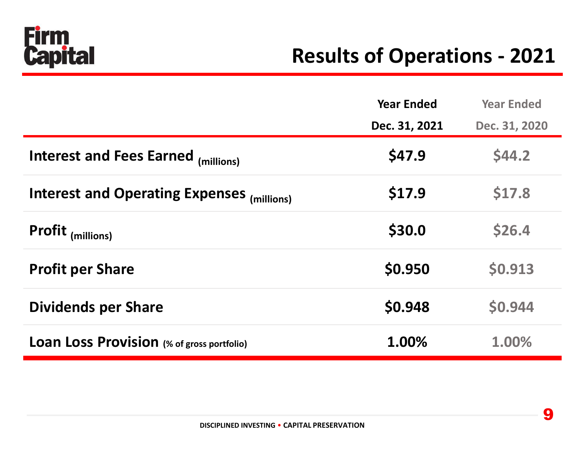

## **Results of Operations - 2021**

|                                                   | <b>Year Ended</b> | <b>Year Ended</b> |
|---------------------------------------------------|-------------------|-------------------|
|                                                   | Dec. 31, 2021     | Dec. 31, 2020     |
| <b>Interest and Fees Earned (millions)</b>        | \$47.9            | \$44.2            |
| Interest and Operating Expenses (millions)        | \$17.9            | \$17.8            |
| <b>Profit</b> (millions)                          | \$30.0            | \$26.4            |
| <b>Profit per Share</b>                           | \$0.950           | \$0.913           |
| <b>Dividends per Share</b>                        | \$0.948           | \$0.944           |
| <b>Loan Loss Provision</b> (% of gross portfolio) | 1.00%             | 1.00%             |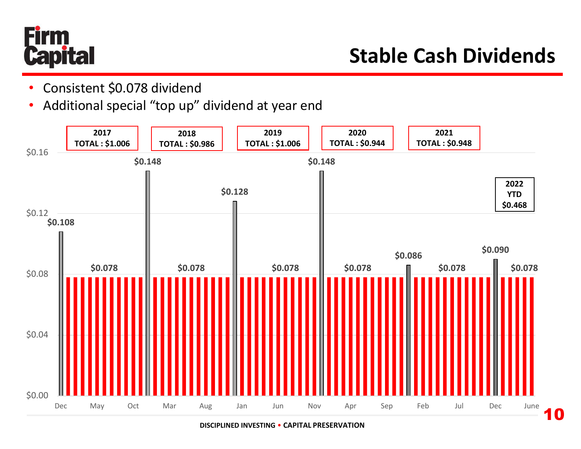

10

- Consistent \$0.078 dividend
- Additional special "top up" dividend at year end



**DISCIPLINED INVESTING** • **CAPITAL PRESERVATION**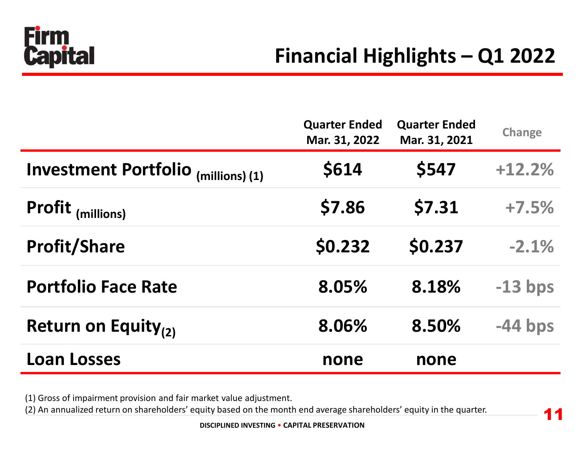

11

|                                     | <b>Quarter Ended</b><br>Mar. 31, 2022 | <b>Quarter Ended</b><br>Mar. 31, 2021 | <b>Change</b> |
|-------------------------------------|---------------------------------------|---------------------------------------|---------------|
| Investment Portfolio (millions) (1) | \$614                                 | \$547                                 | $+12.2%$      |
| Profit (millions)                   | \$7.86                                | \$7.31                                | $+7.5%$       |
| <b>Profit/Share</b>                 | \$0.232                               | \$0.237                               | $-2.1%$       |
| <b>Portfolio Face Rate</b>          | 8.05%                                 | 8.18%                                 | $-13$ bps     |
| Return on Equity $_{(2)}$           | 8.06%                                 | 8.50%                                 | $-44$ bps     |
| <b>Loan Losses</b>                  | none                                  | none                                  |               |

(1) Gross of impairment provision and fair market value adjustment.

(2) An annualized return on shareholders' equity based on the month end average shareholders' equity in the quarter.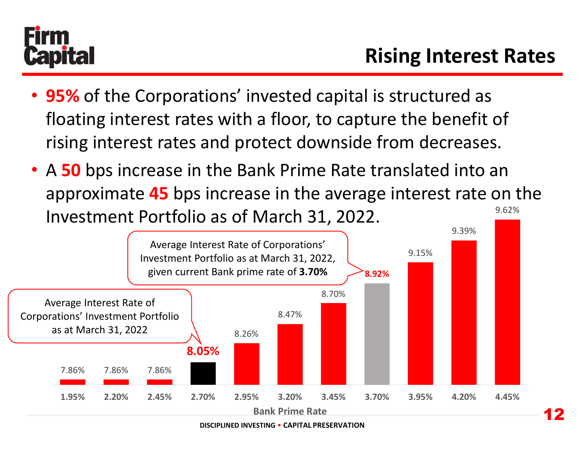

12

- **95%** of the Corporations' invested capital is structured as floating interest rates with a floor, to capture the benefit of rising interest rates and protect downside from decreases.
- 9.62% • A **50** bps increase in the Bank Prime Rate translated into an approximate **45** bps increase in the average interest rate on the Investment Portfolio as of March 31, 2022.

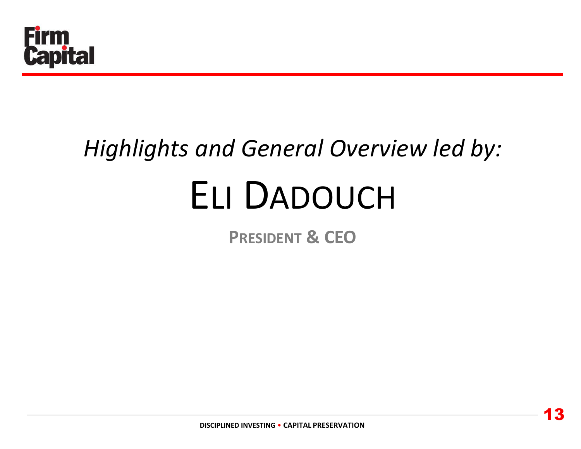

## *Highlights and General Overview led by:* ELI DADOUCH

**PRESIDENT & CEO**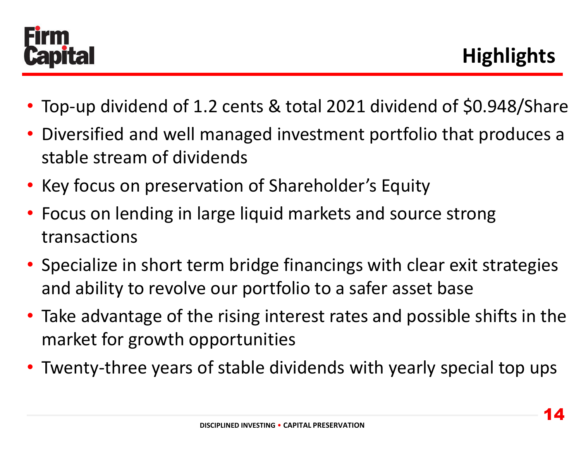

- Top-up dividend of 1.2 cents & total 2021 dividend of \$0.948/Share
- Diversified and well managed investment portfolio that produces a stable stream of dividends
- Key focus on preservation of Shareholder's Equity
- Focus on lending in large liquid markets and source strong transactions
- Specialize in short term bridge financings with clear exit strategies and ability to revolve our portfolio to a safer asset base
- Take advantage of the rising interest rates and possible shifts in the market for growth opportunities
- Twenty-three years of stable dividends with yearly special top ups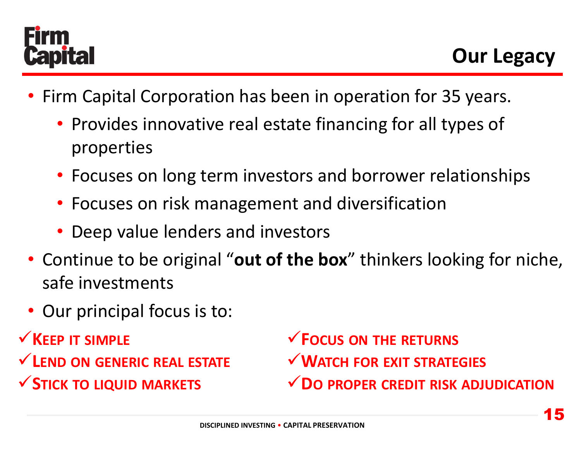

- Firm Capital Corporation has been in operation for 35 years.
	- Provides innovative real estate financing for all types of properties
	- Focuses on long term investors and borrower relationships
	- Focuses on risk management and diversification
	- Deep value lenders and investors
- Continue to be original "**out of the box**" thinkers looking for niche, safe investments
- Our principal focus is to:
- **KEEP IT SIMPLE**
- **LEND ON GENERIC REAL ESTATE STICK TO LIQUID MARKETS**

**FOCUS ON THE RETURNS WATCH FOR EXIT STRATEGIES DO PROPER CREDIT RISK ADJUDICATION**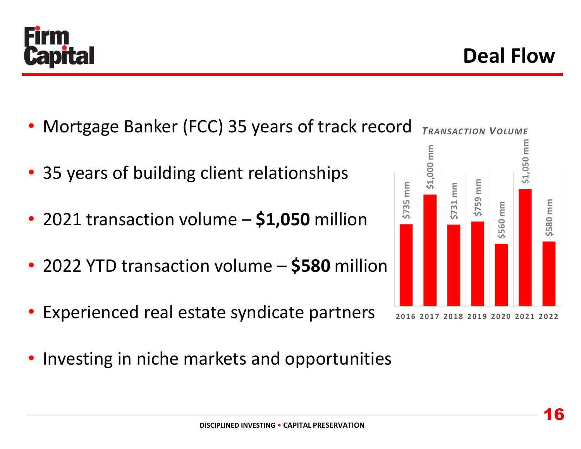

- Mortgage Banker (FCC) 35 years of track record
- 35 years of building client relationships
- 2021 transaction volume **\$1,050** million
- 2022 YTD transaction volume **\$580** million
- Experienced real estate syndicate partners
- Investing in niche markets and opportunities



*TRANSACTION VOLUME*

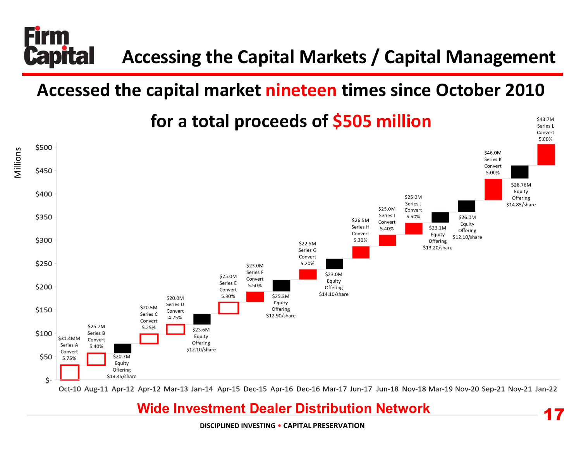

## **Accessed the capital market nineteen times since October 2010**



Millions



Oct-10 Aug-11 Apr-12 Apr-12 Mar-13 Jan-14 Apr-15 Dec-15 Apr-16 Dec-16 Mar-17 Jun-17 Jun-18 Nov-18 Mar-19 Nov-20 Sep-21 Nov-21 Jan-22

17

\$43.7M Series L Convert

### **Wide Investment Dealer Distribution Network**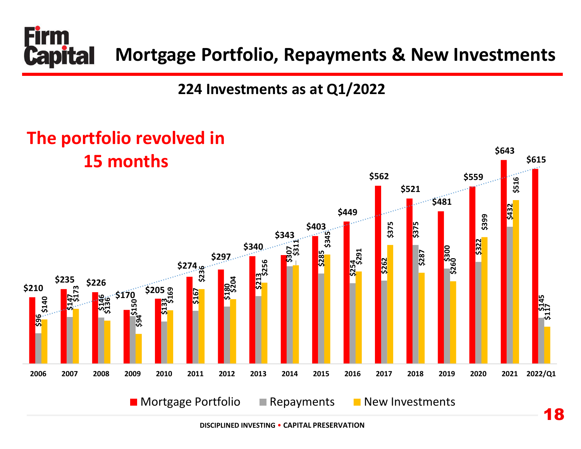

## **224 Investments as at Q1/2022**

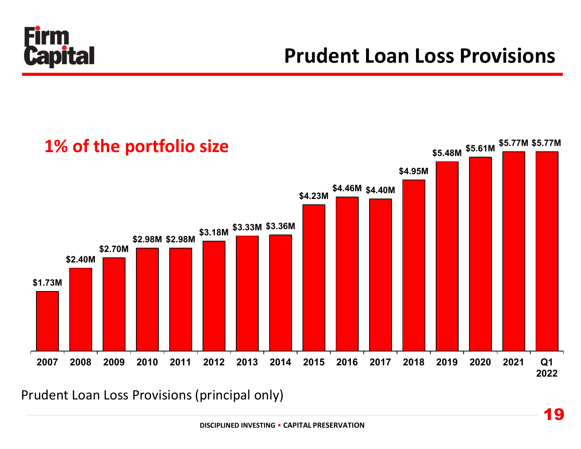

## **Prudent Loan Loss Provisions**



Prudent Loan Loss Provisions (principal only)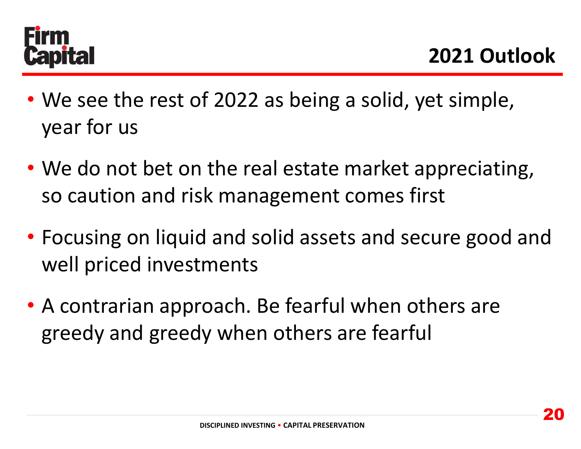

- We see the rest of 2022 as being a solid, yet simple, year for us
- We do not bet on the real estate market appreciating, so caution and risk management comes first
- Focusing on liquid and solid assets and secure good and well priced investments
- A contrarian approach. Be fearful when others are greedy and greedy when others are fearful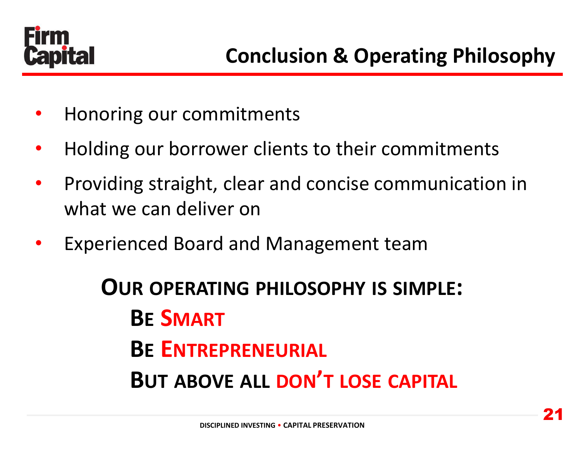

- Honoring our commitments
- Holding our borrower clients to their commitments
- Providing straight, clear and concise communication in what we can deliver on
- Experienced Board and Management team

**OUR OPERATING PHILOSOPHY IS SIMPLE: BE SMART BE ENTREPRENEURIAL BUT ABOVE ALL DON'T LOSE CAPITAL**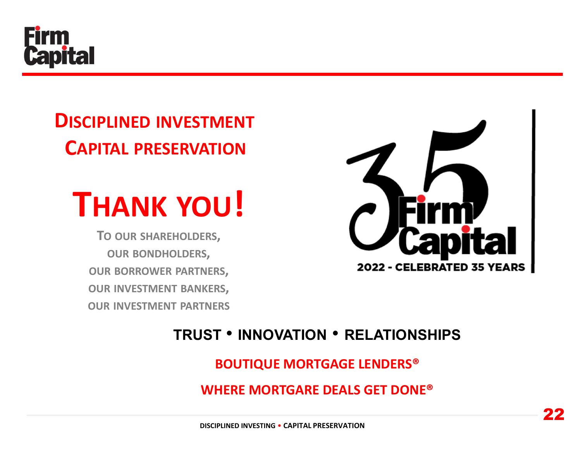

## **DISCIPLINED INVESTMENT CAPITAL PRESERVATION**



**TO OUR SHAREHOLDERS, OUR BONDHOLDERS, OUR BORROWER PARTNERS, OUR INVESTMENT BANKERS, OUR INVESTMENT PARTNERS**



## **TRUST** • **INNOVATION** • **RELATIONSHIPS**

### **BOUTIQUE MORTGAGE LENDERS®**

**WHERE MORTGARE DEALS GET DONE®**